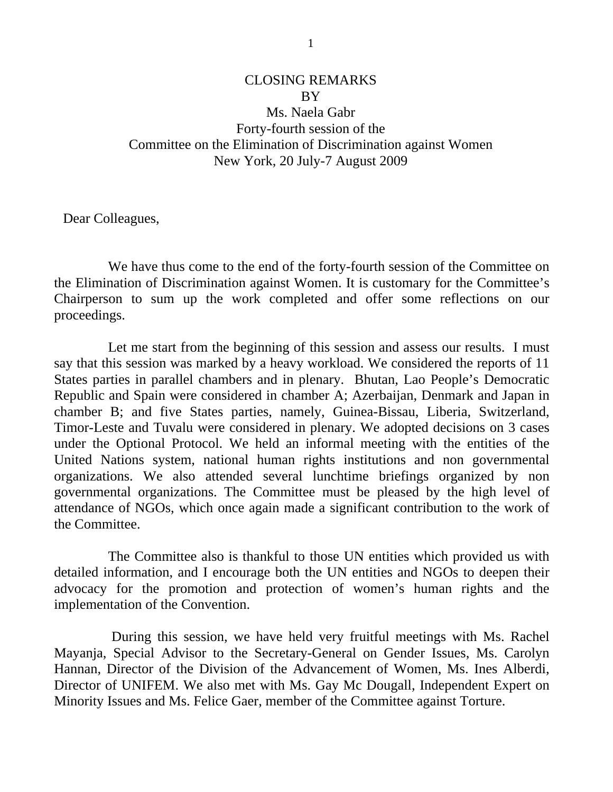## CLOSING REMARKS **BY** Ms. Naela Gabr Forty-fourth session of the Committee on the Elimination of Discrimination against Women New York, 20 July-7 August 2009

Dear Colleagues,

 We have thus come to the end of the forty-fourth session of the Committee on the Elimination of Discrimination against Women. It is customary for the Committee's Chairperson to sum up the work completed and offer some reflections on our proceedings.

 Let me start from the beginning of this session and assess our results. I must say that this session was marked by a heavy workload. We considered the reports of 11 States parties in parallel chambers and in plenary. Bhutan, Lao People's Democratic Republic and Spain were considered in chamber A; Azerbaijan, Denmark and Japan in chamber B; and five States parties, namely, Guinea-Bissau, Liberia, Switzerland, Timor-Leste and Tuvalu were considered in plenary. We adopted decisions on 3 cases under the Optional Protocol. We held an informal meeting with the entities of the United Nations system, national human rights institutions and non governmental organizations. We also attended several lunchtime briefings organized by non governmental organizations. The Committee must be pleased by the high level of attendance of NGOs, which once again made a significant contribution to the work of the Committee.

 The Committee also is thankful to those UN entities which provided us with detailed information, and I encourage both the UN entities and NGOs to deepen their advocacy for the promotion and protection of women's human rights and the implementation of the Convention.

 During this session, we have held very fruitful meetings with Ms. Rachel Mayanja, Special Advisor to the Secretary-General on Gender Issues, Ms. Carolyn Hannan, Director of the Division of the Advancement of Women, Ms. Ines Alberdi, Director of UNIFEM. We also met with Ms. Gay Mc Dougall, Independent Expert on Minority Issues and Ms. Felice Gaer, member of the Committee against Torture.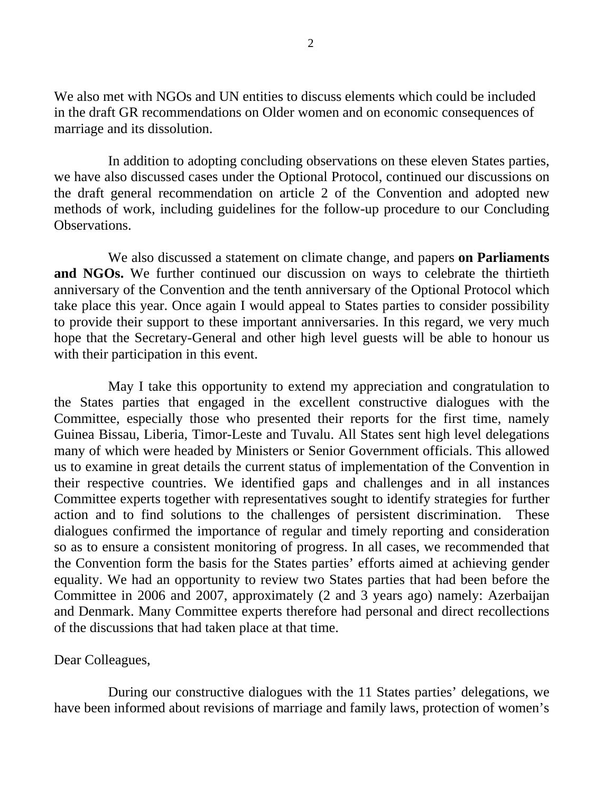We also met with NGOs and UN entities to discuss elements which could be included in the draft GR recommendations on Older women and on economic consequences of marriage and its dissolution.

 In addition to adopting concluding observations on these eleven States parties, we have also discussed cases under the Optional Protocol, continued our discussions on the draft general recommendation on article 2 of the Convention and adopted new methods of work, including guidelines for the follow-up procedure to our Concluding Observations.

 We also discussed a statement on climate change, and papers **on Parliaments and NGOs.** We further continued our discussion on ways to celebrate the thirtieth anniversary of the Convention and the tenth anniversary of the Optional Protocol which take place this year. Once again I would appeal to States parties to consider possibility to provide their support to these important anniversaries. In this regard, we very much hope that the Secretary-General and other high level guests will be able to honour us with their participation in this event.

 May I take this opportunity to extend my appreciation and congratulation to the States parties that engaged in the excellent constructive dialogues with the Committee, especially those who presented their reports for the first time, namely Guinea Bissau, Liberia, Timor-Leste and Tuvalu. All States sent high level delegations many of which were headed by Ministers or Senior Government officials. This allowed us to examine in great details the current status of implementation of the Convention in their respective countries. We identified gaps and challenges and in all instances Committee experts together with representatives sought to identify strategies for further action and to find solutions to the challenges of persistent discrimination. These dialogues confirmed the importance of regular and timely reporting and consideration so as to ensure a consistent monitoring of progress. In all cases, we recommended that the Convention form the basis for the States parties' efforts aimed at achieving gender equality. We had an opportunity to review two States parties that had been before the Committee in 2006 and 2007, approximately (2 and 3 years ago) namely: Azerbaijan and Denmark. Many Committee experts therefore had personal and direct recollections of the discussions that had taken place at that time.

## Dear Colleagues,

 During our constructive dialogues with the 11 States parties' delegations, we have been informed about revisions of marriage and family laws, protection of women's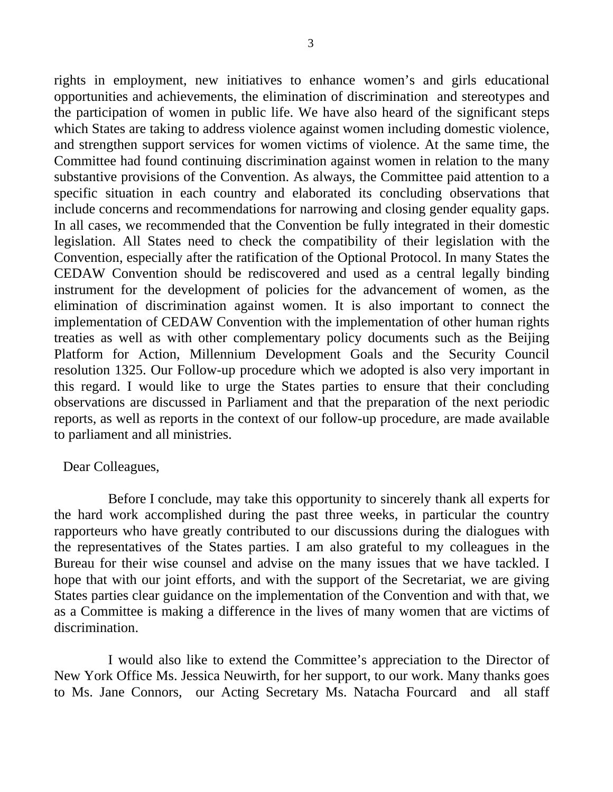rights in employment, new initiatives to enhance women's and girls educational opportunities and achievements, the elimination of discrimination and stereotypes and the participation of women in public life. We have also heard of the significant steps which States are taking to address violence against women including domestic violence, and strengthen support services for women victims of violence. At the same time, the Committee had found continuing discrimination against women in relation to the many substantive provisions of the Convention. As always, the Committee paid attention to a specific situation in each country and elaborated its concluding observations that include concerns and recommendations for narrowing and closing gender equality gaps. In all cases, we recommended that the Convention be fully integrated in their domestic legislation. All States need to check the compatibility of their legislation with the Convention, especially after the ratification of the Optional Protocol. In many States the CEDAW Convention should be rediscovered and used as a central legally binding instrument for the development of policies for the advancement of women, as the elimination of discrimination against women. It is also important to connect the implementation of CEDAW Convention with the implementation of other human rights treaties as well as with other complementary policy documents such as the Beijing Platform for Action, Millennium Development Goals and the Security Council resolution 1325. Our Follow-up procedure which we adopted is also very important in this regard. I would like to urge the States parties to ensure that their concluding observations are discussed in Parliament and that the preparation of the next periodic reports, as well as reports in the context of our follow-up procedure, are made available to parliament and all ministries.

## Dear Colleagues,

 Before I conclude, may take this opportunity to sincerely thank all experts for the hard work accomplished during the past three weeks, in particular the country rapporteurs who have greatly contributed to our discussions during the dialogues with the representatives of the States parties. I am also grateful to my colleagues in the Bureau for their wise counsel and advise on the many issues that we have tackled. I hope that with our joint efforts, and with the support of the Secretariat, we are giving States parties clear guidance on the implementation of the Convention and with that, we as a Committee is making a difference in the lives of many women that are victims of discrimination.

 I would also like to extend the Committee's appreciation to the Director of New York Office Ms. Jessica Neuwirth, for her support, to our work. Many thanks goes to Ms. Jane Connors, our Acting Secretary Ms. Natacha Fourcard and all staff